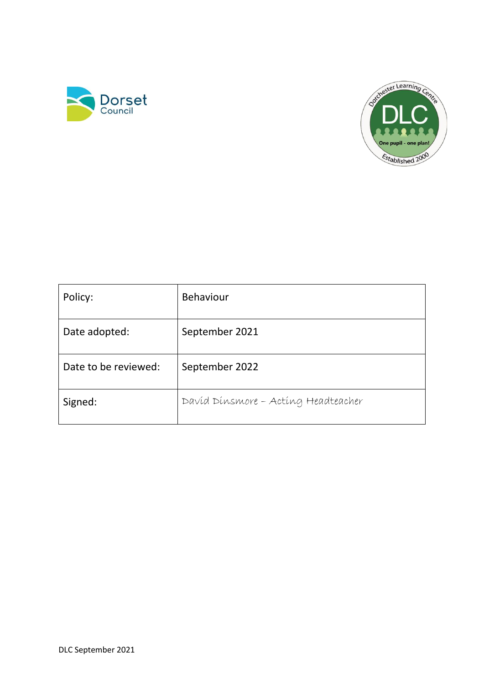



| Policy:              | <b>Behaviour</b>                    |
|----------------------|-------------------------------------|
| Date adopted:        | September 2021                      |
| Date to be reviewed: | September 2022                      |
| Signed:              | Davíd Dínsmore - Acting Headteacher |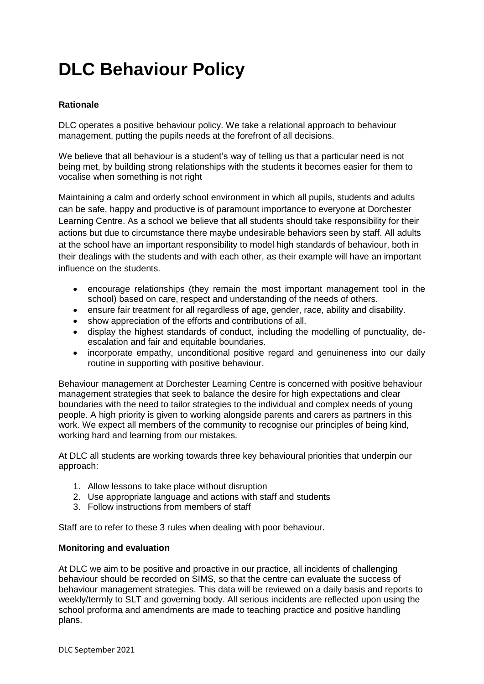# **DLC Behaviour Policy**

# **Rationale**

DLC operates a positive behaviour policy. We take a relational approach to behaviour management, putting the pupils needs at the forefront of all decisions.

We believe that all behaviour is a student's way of telling us that a particular need is not being met, by building strong relationships with the students it becomes easier for them to vocalise when something is not right

Maintaining a calm and orderly school environment in which all pupils, students and adults can be safe, happy and productive is of paramount importance to everyone at Dorchester Learning Centre. As a school we believe that all students should take responsibility for their actions but due to circumstance there maybe undesirable behaviors seen by staff. All adults at the school have an important responsibility to model high standards of behaviour, both in their dealings with the students and with each other, as their example will have an important influence on the students.

- encourage relationships (they remain the most important management tool in the school) based on care, respect and understanding of the needs of others.
- ensure fair treatment for all regardless of age, gender, race, ability and disability.
- show appreciation of the efforts and contributions of all.
- display the highest standards of conduct, including the modelling of punctuality, deescalation and fair and equitable boundaries.
- incorporate empathy, unconditional positive regard and genuineness into our daily routine in supporting with positive behaviour.

Behaviour management at Dorchester Learning Centre is concerned with positive behaviour management strategies that seek to balance the desire for high expectations and clear boundaries with the need to tailor strategies to the individual and complex needs of young people. A high priority is given to working alongside parents and carers as partners in this work. We expect all members of the community to recognise our principles of being kind, working hard and learning from our mistakes.

At DLC all students are working towards three key behavioural priorities that underpin our approach:

- 1. Allow lessons to take place without disruption
- 2. Use appropriate language and actions with staff and students
- 3. Follow instructions from members of staff

Staff are to refer to these 3 rules when dealing with poor behaviour.

# **Monitoring and evaluation**

At DLC we aim to be positive and proactive in our practice, all incidents of challenging behaviour should be recorded on SIMS, so that the centre can evaluate the success of behaviour management strategies. This data will be reviewed on a daily basis and reports to weekly/termly to SLT and governing body. All serious incidents are reflected upon using the school proforma and amendments are made to teaching practice and positive handling plans.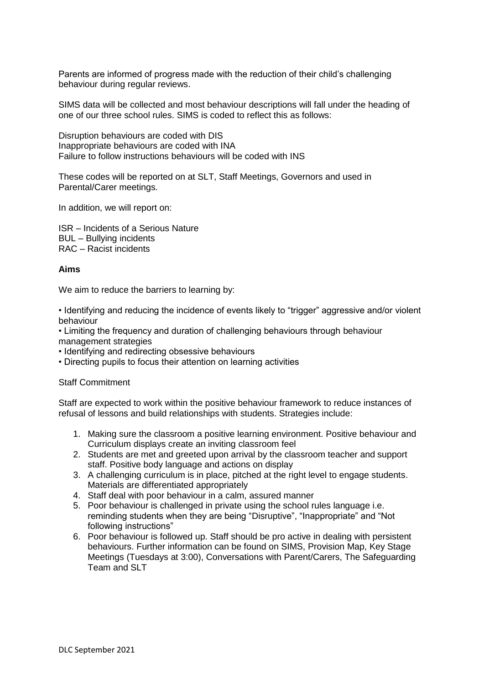Parents are informed of progress made with the reduction of their child's challenging behaviour during regular reviews.

SIMS data will be collected and most behaviour descriptions will fall under the heading of one of our three school rules. SIMS is coded to reflect this as follows:

Disruption behaviours are coded with DIS Inappropriate behaviours are coded with INA Failure to follow instructions behaviours will be coded with INS

These codes will be reported on at SLT, Staff Meetings, Governors and used in Parental/Carer meetings.

In addition, we will report on:

ISR – Incidents of a Serious Nature BUL – Bullying incidents RAC – Racist incidents

## **Aims**

We aim to reduce the barriers to learning by:

• Identifying and reducing the incidence of events likely to "trigger" aggressive and/or violent behaviour

• Limiting the frequency and duration of challenging behaviours through behaviour management strategies

- Identifying and redirecting obsessive behaviours
- Directing pupils to focus their attention on learning activities

Staff Commitment

Staff are expected to work within the positive behaviour framework to reduce instances of refusal of lessons and build relationships with students. Strategies include:

- 1. Making sure the classroom a positive learning environment. Positive behaviour and Curriculum displays create an inviting classroom feel
- 2. Students are met and greeted upon arrival by the classroom teacher and support staff. Positive body language and actions on display
- 3. A challenging curriculum is in place, pitched at the right level to engage students. Materials are differentiated appropriately
- 4. Staff deal with poor behaviour in a calm, assured manner
- 5. Poor behaviour is challenged in private using the school rules language i.e. reminding students when they are being "Disruptive", "Inappropriate" and "Not following instructions"
- 6. Poor behaviour is followed up. Staff should be pro active in dealing with persistent behaviours. Further information can be found on SIMS, Provision Map, Key Stage Meetings (Tuesdays at 3:00), Conversations with Parent/Carers, The Safeguarding Team and SLT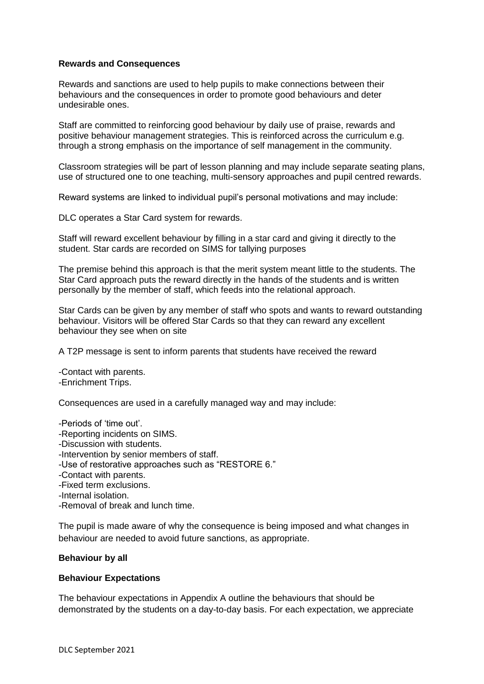## **Rewards and Consequences**

Rewards and sanctions are used to help pupils to make connections between their behaviours and the consequences in order to promote good behaviours and deter undesirable ones.

Staff are committed to reinforcing good behaviour by daily use of praise, rewards and positive behaviour management strategies. This is reinforced across the curriculum e.g. through a strong emphasis on the importance of self management in the community.

Classroom strategies will be part of lesson planning and may include separate seating plans, use of structured one to one teaching, multi-sensory approaches and pupil centred rewards.

Reward systems are linked to individual pupil's personal motivations and may include:

DLC operates a Star Card system for rewards.

Staff will reward excellent behaviour by filling in a star card and giving it directly to the student. Star cards are recorded on SIMS for tallying purposes

The premise behind this approach is that the merit system meant little to the students. The Star Card approach puts the reward directly in the hands of the students and is written personally by the member of staff, which feeds into the relational approach.

Star Cards can be given by any member of staff who spots and wants to reward outstanding behaviour. Visitors will be offered Star Cards so that they can reward any excellent behaviour they see when on site

A T2P message is sent to inform parents that students have received the reward

-Contact with parents. -Enrichment Trips.

Consequences are used in a carefully managed way and may include:

-Periods of 'time out'.

- -Reporting incidents on SIMS.
- -Discussion with students.
- -Intervention by senior members of staff.
- -Use of restorative approaches such as "RESTORE 6."
- -Contact with parents.
- -Fixed term exclusions.
- -Internal isolation.
- -Removal of break and lunch time.

The pupil is made aware of why the consequence is being imposed and what changes in behaviour are needed to avoid future sanctions, as appropriate.

## **Behaviour by all**

## **Behaviour Expectations**

The behaviour expectations in Appendix A outline the behaviours that should be demonstrated by the students on a day-to-day basis. For each expectation, we appreciate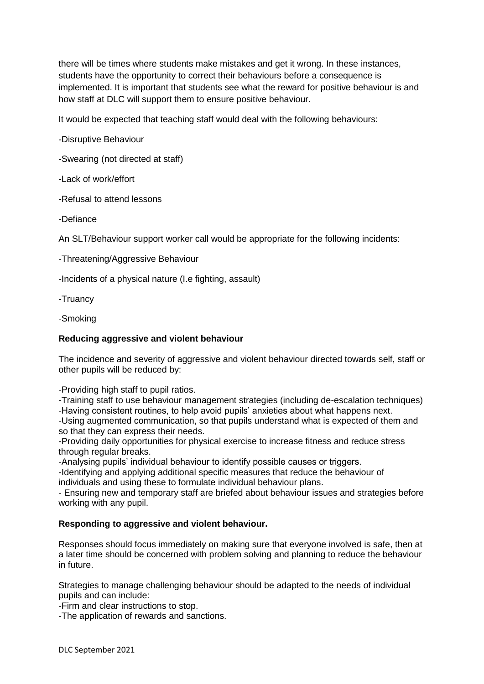there will be times where students make mistakes and get it wrong. In these instances, students have the opportunity to correct their behaviours before a consequence is implemented. It is important that students see what the reward for positive behaviour is and how staff at DLC will support them to ensure positive behaviour.

It would be expected that teaching staff would deal with the following behaviours:

-Disruptive Behaviour

-Swearing (not directed at staff)

-Lack of work/effort

-Refusal to attend lessons

-Defiance

An SLT/Behaviour support worker call would be appropriate for the following incidents:

-Threatening/Aggressive Behaviour

-Incidents of a physical nature (I.e fighting, assault)

-Truancy

-Smoking

# **Reducing aggressive and violent behaviour**

The incidence and severity of aggressive and violent behaviour directed towards self, staff or other pupils will be reduced by:

-Providing high staff to pupil ratios.

-Training staff to use behaviour management strategies (including de-escalation techniques) -Having consistent routines, to help avoid pupils' anxieties about what happens next.

-Using augmented communication, so that pupils understand what is expected of them and so that they can express their needs.

-Providing daily opportunities for physical exercise to increase fitness and reduce stress through regular breaks.

-Analysing pupils' individual behaviour to identify possible causes or triggers.

-Identifying and applying additional specific measures that reduce the behaviour of individuals and using these to formulate individual behaviour plans.

- Ensuring new and temporary staff are briefed about behaviour issues and strategies before working with any pupil.

# **Responding to aggressive and violent behaviour.**

Responses should focus immediately on making sure that everyone involved is safe, then at a later time should be concerned with problem solving and planning to reduce the behaviour in future.

Strategies to manage challenging behaviour should be adapted to the needs of individual pupils and can include:

-Firm and clear instructions to stop.

-The application of rewards and sanctions.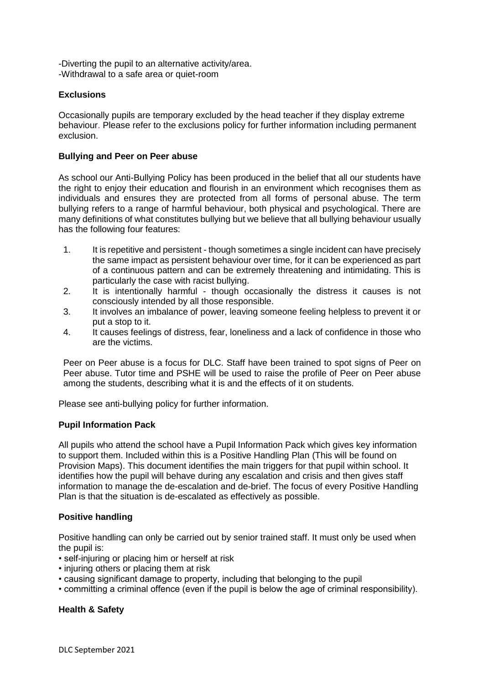-Diverting the pupil to an alternative activity/area. -Withdrawal to a safe area or quiet-room

# **Exclusions**

Occasionally pupils are temporary excluded by the head teacher if they display extreme behaviour. Please refer to the exclusions policy for further information including permanent exclusion.

## **Bullying and Peer on Peer abuse**

As school our Anti-Bullying Policy has been produced in the belief that all our students have the right to enjoy their education and flourish in an environment which recognises them as individuals and ensures they are protected from all forms of personal abuse. The term bullying refers to a range of harmful behaviour, both physical and psychological. There are many definitions of what constitutes bullying but we believe that all bullying behaviour usually has the following four features:

- 1. It is repetitive and persistent though sometimes a single incident can have precisely the same impact as persistent behaviour over time, for it can be experienced as part of a continuous pattern and can be extremely threatening and intimidating. This is particularly the case with racist bullying.
- 2. It is intentionally harmful though occasionally the distress it causes is not consciously intended by all those responsible.
- 3. It involves an imbalance of power, leaving someone feeling helpless to prevent it or put a stop to it.
- 4. It causes feelings of distress, fear, loneliness and a lack of confidence in those who are the victims.

Peer on Peer abuse is a focus for DLC. Staff have been trained to spot signs of Peer on Peer abuse. Tutor time and PSHE will be used to raise the profile of Peer on Peer abuse among the students, describing what it is and the effects of it on students.

Please see anti-bullying policy for further information.

## **Pupil Information Pack**

All pupils who attend the school have a Pupil Information Pack which gives key information to support them. Included within this is a Positive Handling Plan (This will be found on Provision Maps). This document identifies the main triggers for that pupil within school. It identifies how the pupil will behave during any escalation and crisis and then gives staff information to manage the de-escalation and de-brief. The focus of every Positive Handling Plan is that the situation is de-escalated as effectively as possible.

# **Positive handling**

Positive handling can only be carried out by senior trained staff. It must only be used when the pupil is:

- self-injuring or placing him or herself at risk
- injuring others or placing them at risk
- causing significant damage to property, including that belonging to the pupil
- committing a criminal offence (even if the pupil is below the age of criminal responsibility).

# **Health & Safety**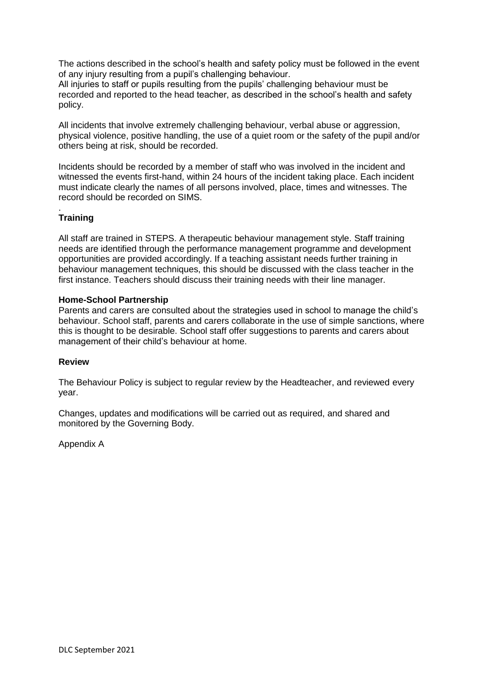The actions described in the school's health and safety policy must be followed in the event of any injury resulting from a pupil's challenging behaviour.

All injuries to staff or pupils resulting from the pupils' challenging behaviour must be recorded and reported to the head teacher, as described in the school's health and safety policy.

All incidents that involve extremely challenging behaviour, verbal abuse or aggression, physical violence, positive handling, the use of a quiet room or the safety of the pupil and/or others being at risk, should be recorded.

Incidents should be recorded by a member of staff who was involved in the incident and witnessed the events first-hand, within 24 hours of the incident taking place. Each incident must indicate clearly the names of all persons involved, place, times and witnesses. The record should be recorded on SIMS.

#### . **Training**

All staff are trained in STEPS. A therapeutic behaviour management style. Staff training needs are identified through the performance management programme and development opportunities are provided accordingly. If a teaching assistant needs further training in behaviour management techniques, this should be discussed with the class teacher in the first instance. Teachers should discuss their training needs with their line manager.

## **Home-School Partnership**

Parents and carers are consulted about the strategies used in school to manage the child's behaviour. School staff, parents and carers collaborate in the use of simple sanctions, where this is thought to be desirable. School staff offer suggestions to parents and carers about management of their child's behaviour at home.

## **Review**

The Behaviour Policy is subject to regular review by the Headteacher, and reviewed every year.

Changes, updates and modifications will be carried out as required, and shared and monitored by the Governing Body.

Appendix A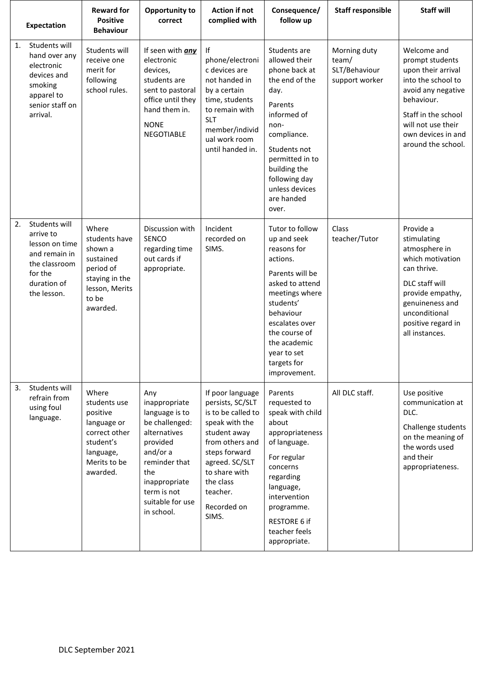|    | <b>Expectation</b>                                                                                                      | <b>Reward for</b><br><b>Positive</b><br><b>Behaviour</b>                                                                | Opportunity to<br>correct                                                                                                                                                                  | <b>Action if not</b><br>complied with                                                                                                                                                                                | Consequence/<br>follow up                                                                                                                                                                                                                    | <b>Staff responsible</b>                                 | <b>Staff will</b>                                                                                                                                                                                       |
|----|-------------------------------------------------------------------------------------------------------------------------|-------------------------------------------------------------------------------------------------------------------------|--------------------------------------------------------------------------------------------------------------------------------------------------------------------------------------------|----------------------------------------------------------------------------------------------------------------------------------------------------------------------------------------------------------------------|----------------------------------------------------------------------------------------------------------------------------------------------------------------------------------------------------------------------------------------------|----------------------------------------------------------|---------------------------------------------------------------------------------------------------------------------------------------------------------------------------------------------------------|
| 1. | Students will<br>hand over any<br>electronic<br>devices and<br>smoking<br>apparel to<br>senior staff on<br>arrival.     | Students will<br>receive one<br>merit for<br>following<br>school rules.                                                 | If seen with any<br>electronic<br>devices,<br>students are<br>sent to pastoral<br>office until they<br>hand them in.<br><b>NONE</b><br>NEGOTIABLE                                          | lf<br>phone/electroni<br>c devices are<br>not handed in<br>by a certain<br>time, students<br>to remain with<br><b>SLT</b><br>member/individ<br>ual work room<br>until handed in.                                     | Students are<br>allowed their<br>phone back at<br>the end of the<br>day.<br>Parents<br>informed of<br>non-<br>compliance.<br>Students not<br>permitted in to<br>building the<br>following day<br>unless devices<br>are handed<br>over.       | Morning duty<br>team/<br>SLT/Behaviour<br>support worker | Welcome and<br>prompt students<br>upon their arrival<br>into the school to<br>avoid any negative<br>behaviour.<br>Staff in the school<br>will not use their<br>own devices in and<br>around the school. |
| 2. | Students will<br>arrive to<br>lesson on time<br>and remain in<br>the classroom<br>for the<br>duration of<br>the lesson. | Where<br>students have<br>shown a<br>sustained<br>period of<br>staying in the<br>lesson, Merits<br>to be<br>awarded.    | Discussion with<br>SENCO<br>regarding time<br>out cards if<br>appropriate.                                                                                                                 | Incident<br>recorded on<br>SIMS.                                                                                                                                                                                     | Tutor to follow<br>up and seek<br>reasons for<br>actions.<br>Parents will be<br>asked to attend<br>meetings where<br>students'<br>behaviour<br>escalates over<br>the course of<br>the academic<br>year to set<br>targets for<br>improvement. | Class<br>teacher/Tutor                                   | Provide a<br>stimulating<br>atmosphere in<br>which motivation<br>can thrive.<br>DLC staff will<br>provide empathy,<br>genuineness and<br>unconditional<br>positive regard in<br>all instances.          |
| 3. | Students will<br>refrain from<br>using foul<br>language.                                                                | Where<br>students use<br>positive<br>language or<br>correct other<br>student's<br>language,<br>Merits to be<br>awarded. | Any<br>inappropriate<br>language is to<br>be challenged:<br>alternatives<br>provided<br>and/or a<br>reminder that<br>the<br>inappropriate<br>term is not<br>suitable for use<br>in school. | If poor language<br>persists, SC/SLT<br>is to be called to<br>speak with the<br>student away<br>from others and<br>steps forward<br>agreed. SC/SLT<br>to share with<br>the class<br>teacher.<br>Recorded on<br>SIMS. | Parents<br>requested to<br>speak with child<br>about<br>appropriateness<br>of language.<br>For regular<br>concerns<br>regarding<br>language,<br>intervention<br>programme.<br>RESTORE 6 if<br>teacher feels<br>appropriate.                  | All DLC staff.                                           | Use positive<br>communication at<br>DLC.<br>Challenge students<br>on the meaning of<br>the words used<br>and their<br>appropriateness.                                                                  |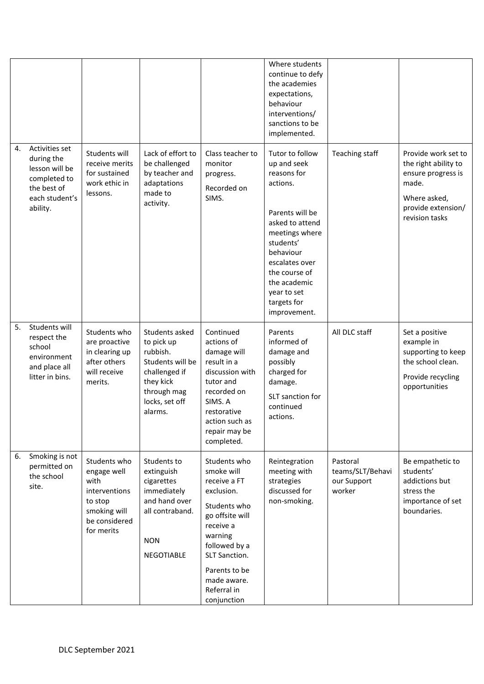|    |                                                                                                             |                                                                                                                |                                                                                                                                        |                                                                                                                                                                                                                     | Where students<br>continue to defy<br>the academies<br>expectations,<br>behaviour<br>interventions/<br>sanctions to be<br>implemented.                                                                                                       |                                                       |                                                                                                                                    |
|----|-------------------------------------------------------------------------------------------------------------|----------------------------------------------------------------------------------------------------------------|----------------------------------------------------------------------------------------------------------------------------------------|---------------------------------------------------------------------------------------------------------------------------------------------------------------------------------------------------------------------|----------------------------------------------------------------------------------------------------------------------------------------------------------------------------------------------------------------------------------------------|-------------------------------------------------------|------------------------------------------------------------------------------------------------------------------------------------|
| 4. | Activities set<br>during the<br>lesson will be<br>completed to<br>the best of<br>each student's<br>ability. | Students will<br>receive merits<br>for sustained<br>work ethic in<br>lessons.                                  | Lack of effort to<br>be challenged<br>by teacher and<br>adaptations<br>made to<br>activity.                                            | Class teacher to<br>monitor<br>progress.<br>Recorded on<br>SIMS.                                                                                                                                                    | Tutor to follow<br>up and seek<br>reasons for<br>actions.<br>Parents will be<br>asked to attend<br>meetings where<br>students'<br>behaviour<br>escalates over<br>the course of<br>the academic<br>year to set<br>targets for<br>improvement. | Teaching staff                                        | Provide work set to<br>the right ability to<br>ensure progress is<br>made.<br>Where asked,<br>provide extension/<br>revision tasks |
| 5. | Students will<br>respect the<br>school<br>environment<br>and place all<br>litter in bins.                   | Students who<br>are proactive<br>in clearing up<br>after others<br>will receive<br>merits.                     | Students asked<br>to pick up<br>rubbish.<br>Students will be<br>challenged if<br>they kick<br>through mag<br>locks, set off<br>alarms. | Continued<br>actions of<br>damage will<br>result in a<br>discussion with<br>tutor and<br>recorded on<br>SIMS. A<br>restorative<br>action such as<br>repair may be<br>completed.                                     | Parents<br>informed of<br>damage and<br>possibly<br>charged for<br>damage.<br>SLT sanction for<br>continued<br>actions.                                                                                                                      | All DLC staff                                         | Set a positive<br>example in<br>supporting to keep<br>the school clean.<br>Provide recycling<br>opportunities                      |
| 6. | Smoking is not<br>permitted on<br>the school<br>site.                                                       | Students who<br>engage well<br>with<br>interventions<br>to stop<br>smoking will<br>be considered<br>for merits | Students to<br>extinguish<br>cigarettes<br>immediately<br>and hand over<br>all contraband.<br><b>NON</b><br>NEGOTIABLE                 | Students who<br>smoke will<br>receive a FT<br>exclusion.<br>Students who<br>go offsite will<br>receive a<br>warning<br>followed by a<br>SLT Sanction.<br>Parents to be<br>made aware.<br>Referral in<br>conjunction | Reintegration<br>meeting with<br>strategies<br>discussed for<br>non-smoking.                                                                                                                                                                 | Pastoral<br>teams/SLT/Behavi<br>our Support<br>worker | Be empathetic to<br>students'<br>addictions but<br>stress the<br>importance of set<br>boundaries.                                  |